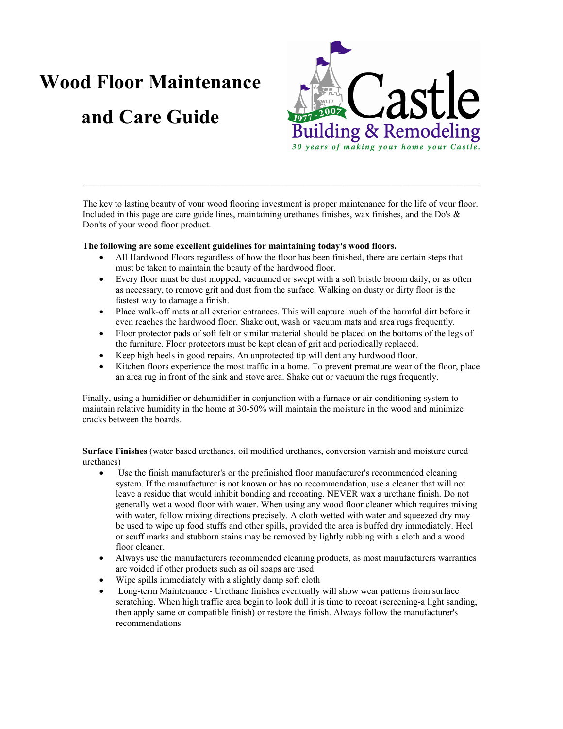# Wood Floor Maintenance and Care Guide



The key to lasting beauty of your wood flooring investment is proper maintenance for the life of your floor. Included in this page are care guide lines, maintaining urethanes finishes, wax finishes, and the Do's  $\&$ Don'ts of your wood floor product.

 $\_$  , and the contribution of the contribution of  $\mathcal{L}_\mathcal{A}$  , and the contribution of  $\mathcal{L}_\mathcal{A}$ 

## The following are some excellent guidelines for maintaining today's wood floors.

- All Hardwood Floors regardless of how the floor has been finished, there are certain steps that must be taken to maintain the beauty of the hardwood floor.
- Every floor must be dust mopped, vacuumed or swept with a soft bristle broom daily, or as often as necessary, to remove grit and dust from the surface. Walking on dusty or dirty floor is the fastest way to damage a finish.
- Place walk-off mats at all exterior entrances. This will capture much of the harmful dirt before it even reaches the hardwood floor. Shake out, wash or vacuum mats and area rugs frequently.
- Floor protector pads of soft felt or similar material should be placed on the bottoms of the legs of the furniture. Floor protectors must be kept clean of grit and periodically replaced.
- Keep high heels in good repairs. An unprotected tip will dent any hardwood floor.
- Kitchen floors experience the most traffic in a home. To prevent premature wear of the floor, place an area rug in front of the sink and stove area. Shake out or vacuum the rugs frequently.

Finally, using a humidifier or dehumidifier in conjunction with a furnace or air conditioning system to maintain relative humidity in the home at 30-50% will maintain the moisture in the wood and minimize cracks between the boards.

Surface Finishes (water based urethanes, oil modified urethanes, conversion varnish and moisture cured urethanes)

- Use the finish manufacturer's or the prefinished floor manufacturer's recommended cleaning system. If the manufacturer is not known or has no recommendation, use a cleaner that will not leave a residue that would inhibit bonding and recoating. NEVER wax a urethane finish. Do not generally wet a wood floor with water. When using any wood floor cleaner which requires mixing with water, follow mixing directions precisely. A cloth wetted with water and squeezed dry may be used to wipe up food stuffs and other spills, provided the area is buffed dry immediately. Heel or scuff marks and stubborn stains may be removed by lightly rubbing with a cloth and a wood floor cleaner.
- Always use the manufacturers recommended cleaning products, as most manufacturers warranties are voided if other products such as oil soaps are used.
- Wipe spills immediately with a slightly damp soft cloth
- Long-term Maintenance Urethane finishes eventually will show wear patterns from surface scratching. When high traffic area begin to look dull it is time to recoat (screening-a light sanding, then apply same or compatible finish) or restore the finish. Always follow the manufacturer's recommendations.